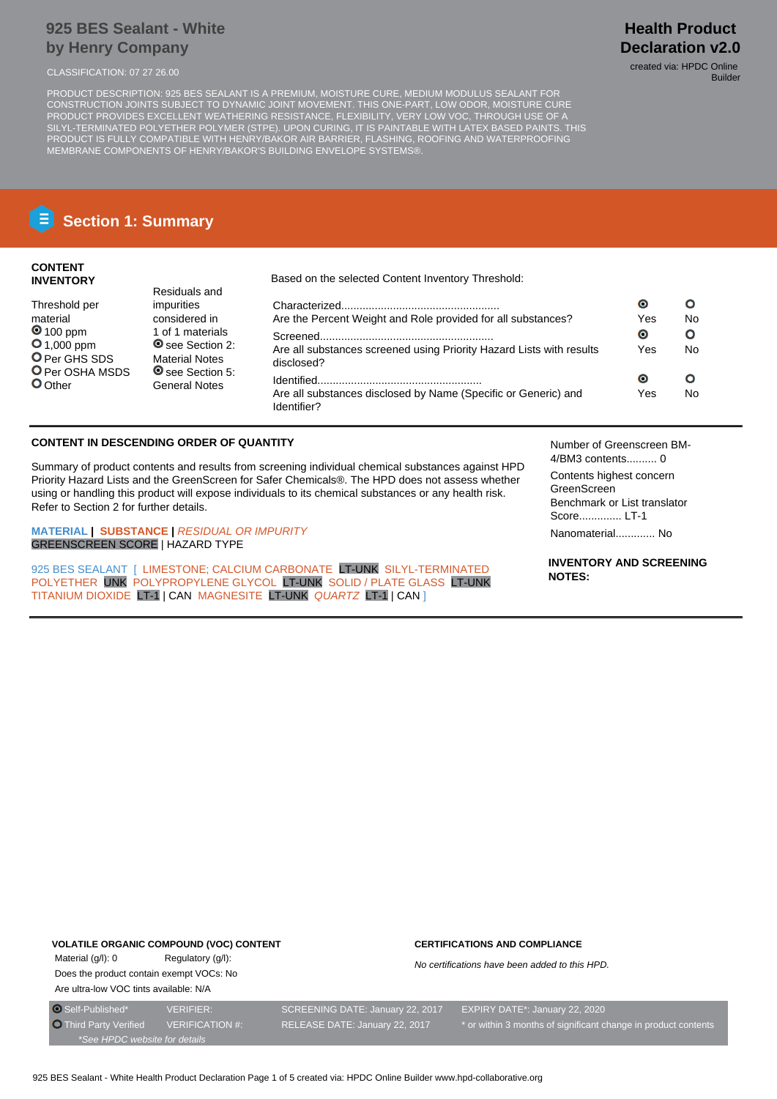## **925 BES Sealant - White by Henry Company**

PRODUCT DESCRIPTION: 925 BES SEALANT IS A PREMIUM, MOISTURE CURE, MEDIUM MODULUS SEALANT FOR CONSTRUCTION JOINTS SUBJECT TO DYNAMIC JOINT MOVEMENT. THIS ONE-PART, LOW ODOR, MOISTURE CURE PRODUCT PROVIDES EXCELLENT WEATHERING RESISTANCE, FLEXIBILITY, VERY LOW VOC, THROUGH USE OF A SILYL-TERMINATED POLYETHER POLYMER (STPE). UPON CURING, IT IS PAINTABLE WITH LATEX BASED PAINTS. THIS PRODUCT IS FULLY COMPATIBLE WITH HENRY/BAKOR AIR BARRIER, FLASHING, ROOFING AND WATERPROOFING MEMBRANE COMPONENTS OF HENRY/BAKOR'S BUILDING ENVELOPE SYSTEMS®.

# **Section 1: Summary**

## **CONTENT INVENTORY**

Threshold per material **0** 100 ppm **O** 1,000 ppm O Per GHS SDS **O** Per OSHA MSDS

**O**Other

Based on the selected Content Inventory Threshold:

| impurities                                                           |                                                                                    | $\bullet$        | Ω       |
|----------------------------------------------------------------------|------------------------------------------------------------------------------------|------------------|---------|
| considered in                                                        | Are the Percent Weight and Role provided for all substances?                       |                  |         |
| 1 of 1 materials<br><b>◎</b> see Section 2:<br><b>Material Notes</b> | Are all substances screened using Priority Hazard Lists with results<br>disclosed? | $\bullet$<br>Yes | Ο<br>No |
| See Section 5:<br><b>General Notes</b>                               | Are all substances disclosed by Name (Specific or Generic) and<br>Identifier?      | $\bullet$<br>Yes | O<br>No |

## **CONTENT IN DESCENDING ORDER OF QUANTITY**

Residuals and

Summary of product contents and results from screening individual chemical substances against HPD Priority Hazard Lists and the GreenScreen for Safer Chemicals®. The HPD does not assess whether using or handling this product will expose individuals to its chemical substances or any health risk. Refer to Section 2 for further details.

**MATERIAL | SUBSTANCE |** RESIDUAL OR IMPURITY GREENSCREEN SCORE | HAZARD TYPE

925 BES SEALANT [ LIMESTONE: CALCIUM CARBONATE LT-UNK SILYL-TERMINATED POLYETHER UNK POLYPROPYLENE GLYCOL LT-UNK SOLID / PLATE GLASS LT-UNK TITANIUM DIOXIDE LT-1 | CAN MAGNESITE LT-UNK QUARTZ LT-1 | CAN ]

Number of Greenscreen BM-4/BM3 contents.......... 0

Contents highest concern GreenScreen Benchmark or List translator Score.............. LT-1

Nanomaterial............. No

**INVENTORY AND SCREENING NOTES:**

## **VOLATILE ORGANIC COMPOUND (VOC) CONTENT**

Material (g/l): 0 Regulatory (g/l): Does the product contain exempt VOCs: No Are ultra-low VOC tints available: N/A

#### **CERTIFICATIONS AND COMPLIANCE**

No certifications have been added to this HPD.

**Health Product Declaration v2.0** CLASSIFICATION: 07 27 26.00 created via: HPDC Online

Builder

\*See HPDC website for details

O Self-Published\* VERIFIER: SCREENING DATE: January 22, 2017 EXPIRY DATE\*: January 22, 2020 Third Party Verified VERIFICATION #: RELEASE DATE: January 22, 2017 \* or within 3 months of significant change in product contents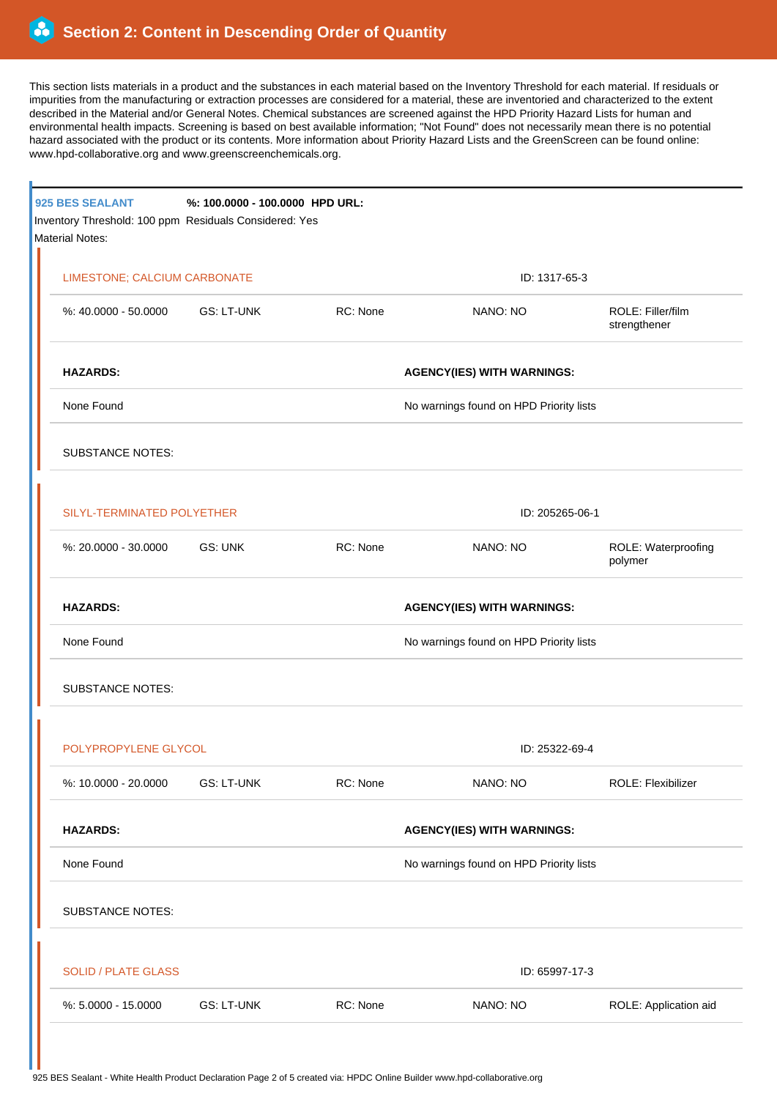This section lists materials in a product and the substances in each material based on the Inventory Threshold for each material. If residuals or impurities from the manufacturing or extraction processes are considered for a material, these are inventoried and characterized to the extent described in the Material and/or General Notes. Chemical substances are screened against the HPD Priority Hazard Lists for human and environmental health impacts. Screening is based on best available information; "Not Found" does not necessarily mean there is no potential hazard associated with the product or its contents. More information about Priority Hazard Lists and the GreenScreen can be found online: www.hpd-collaborative.org and www.greenscreenchemicals.org.

|  | 925 BES SEALANT<br>Inventory Threshold: 100 ppm Residuals Considered: Yes<br><b>Material Notes:</b> | %: 100.0000 - 100.0000 HPD URL: |          |                                         |                                   |  |  |
|--|-----------------------------------------------------------------------------------------------------|---------------------------------|----------|-----------------------------------------|-----------------------------------|--|--|
|  | LIMESTONE; CALCIUM CARBONATE                                                                        |                                 |          | ID: 1317-65-3                           |                                   |  |  |
|  | %: 40.0000 - 50.0000                                                                                | GS: LT-UNK                      | RC: None | NANO: NO                                | ROLE: Filler/film<br>strengthener |  |  |
|  | <b>HAZARDS:</b>                                                                                     |                                 |          | <b>AGENCY(IES) WITH WARNINGS:</b>       |                                   |  |  |
|  | None Found                                                                                          |                                 |          | No warnings found on HPD Priority lists |                                   |  |  |
|  | <b>SUBSTANCE NOTES:</b>                                                                             |                                 |          |                                         |                                   |  |  |
|  | SILYL-TERMINATED POLYETHER                                                                          |                                 |          | ID: 205265-06-1                         |                                   |  |  |
|  | %: 20.0000 - 30.0000                                                                                | GS: UNK                         | RC: None | NANO: NO                                | ROLE: Waterproofing<br>polymer    |  |  |
|  | <b>HAZARDS:</b><br>None Found                                                                       |                                 |          | <b>AGENCY(IES) WITH WARNINGS:</b>       |                                   |  |  |
|  |                                                                                                     |                                 |          | No warnings found on HPD Priority lists |                                   |  |  |
|  | <b>SUBSTANCE NOTES:</b>                                                                             |                                 |          |                                         |                                   |  |  |
|  | POLYPROPYLENE GLYCOL                                                                                |                                 |          | ID: 25322-69-4                          |                                   |  |  |
|  | %: 10.0000 - 20.0000                                                                                | <b>GS: LT-UNK</b>               | RC: None | NANO: NO                                | ROLE: Flexibilizer                |  |  |
|  | <b>HAZARDS:</b>                                                                                     |                                 |          | <b>AGENCY(IES) WITH WARNINGS:</b>       |                                   |  |  |
|  | None Found                                                                                          |                                 |          | No warnings found on HPD Priority lists |                                   |  |  |
|  | <b>SUBSTANCE NOTES:</b>                                                                             |                                 |          |                                         |                                   |  |  |
|  | <b>SOLID / PLATE GLASS</b>                                                                          |                                 |          | ID: 65997-17-3                          |                                   |  |  |
|  | %: 5.0000 - 15.0000                                                                                 | <b>GS: LT-UNK</b>               | RC: None | NANO: NO                                | ROLE: Application aid             |  |  |
|  |                                                                                                     |                                 |          |                                         |                                   |  |  |

925 BES Sealant - White Health Product Declaration Page 2 of 5 created via: HPDC Online Builder www.hpd-collaborative.org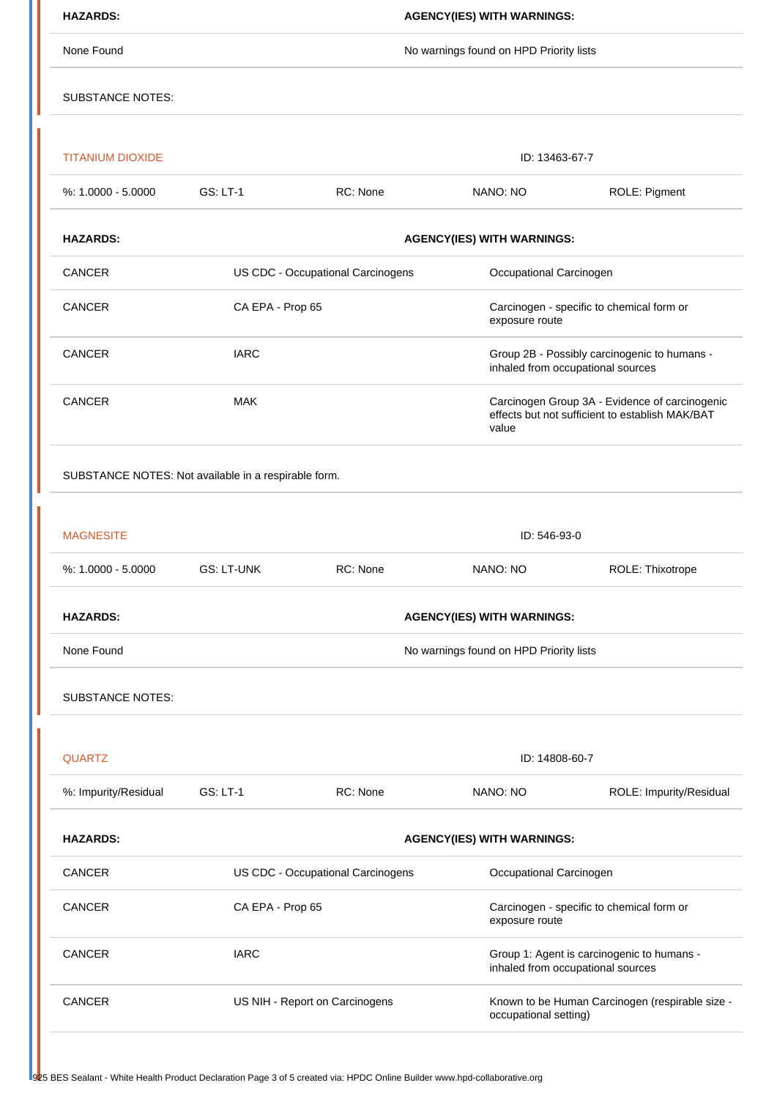| <b>HAZARDS:</b>                                      | <b>AGENCY(IES) WITH WARNINGS:</b>       |                                                              |                                                                                                            |                         |  |  |  |
|------------------------------------------------------|-----------------------------------------|--------------------------------------------------------------|------------------------------------------------------------------------------------------------------------|-------------------------|--|--|--|
| None Found                                           | No warnings found on HPD Priority lists |                                                              |                                                                                                            |                         |  |  |  |
| <b>SUBSTANCE NOTES:</b>                              |                                         |                                                              |                                                                                                            |                         |  |  |  |
| <b>TITANIUM DIOXIDE</b>                              |                                         |                                                              | ID: 13463-67-7                                                                                             |                         |  |  |  |
| $%: 1.0000 - 5.0000$                                 | <b>GS: LT-1</b>                         | RC: None                                                     | NANO: NO                                                                                                   | ROLE: Pigment           |  |  |  |
| <b>HAZARDS:</b>                                      | <b>AGENCY(IES) WITH WARNINGS:</b>       |                                                              |                                                                                                            |                         |  |  |  |
| CANCER                                               |                                         | US CDC - Occupational Carcinogens<br>Occupational Carcinogen |                                                                                                            |                         |  |  |  |
| <b>CANCER</b>                                        | CA EPA - Prop 65                        |                                                              | Carcinogen - specific to chemical form or<br>exposure route                                                |                         |  |  |  |
| CANCER                                               | <b>IARC</b>                             |                                                              | Group 2B - Possibly carcinogenic to humans -<br>inhaled from occupational sources                          |                         |  |  |  |
| CANCER                                               | <b>MAK</b>                              |                                                              | Carcinogen Group 3A - Evidence of carcinogenic<br>effects but not sufficient to establish MAK/BAT<br>value |                         |  |  |  |
| SUBSTANCE NOTES: Not available in a respirable form. |                                         |                                                              |                                                                                                            |                         |  |  |  |
|                                                      |                                         |                                                              |                                                                                                            |                         |  |  |  |
| <b>MAGNESITE</b>                                     | ID: 546-93-0                            |                                                              |                                                                                                            |                         |  |  |  |
| %: 1.0000 - 5.0000                                   | <b>GS: LT-UNK</b>                       | RC: None                                                     | NANO: NO                                                                                                   | ROLE: Thixotrope        |  |  |  |
| <b>HAZARDS:</b>                                      | <b>AGENCY(IES) WITH WARNINGS:</b>       |                                                              |                                                                                                            |                         |  |  |  |
| None Found                                           | No warnings found on HPD Priority lists |                                                              |                                                                                                            |                         |  |  |  |
| <b>SUBSTANCE NOTES:</b>                              |                                         |                                                              |                                                                                                            |                         |  |  |  |
| <b>QUARTZ</b>                                        |                                         | ID: 14808-60-7                                               |                                                                                                            |                         |  |  |  |
| %: Impurity/Residual                                 | <b>GS: LT-1</b>                         | RC: None                                                     | NANO: NO                                                                                                   | ROLE: Impurity/Residual |  |  |  |
| <b>HAZARDS:</b>                                      | <b>AGENCY(IES) WITH WARNINGS:</b>       |                                                              |                                                                                                            |                         |  |  |  |
| <b>CANCER</b>                                        | US CDC - Occupational Carcinogens       |                                                              | Occupational Carcinogen                                                                                    |                         |  |  |  |
| CANCER                                               | CA EPA - Prop 65                        |                                                              | Carcinogen - specific to chemical form or<br>exposure route                                                |                         |  |  |  |
| CANCER                                               | <b>IARC</b>                             |                                                              | Group 1: Agent is carcinogenic to humans -<br>inhaled from occupational sources                            |                         |  |  |  |
| <b>CANCER</b>                                        | US NIH - Report on Carcinogens          |                                                              | Known to be Human Carcinogen (respirable size -<br>occupational setting)                                   |                         |  |  |  |
|                                                      |                                         |                                                              |                                                                                                            |                         |  |  |  |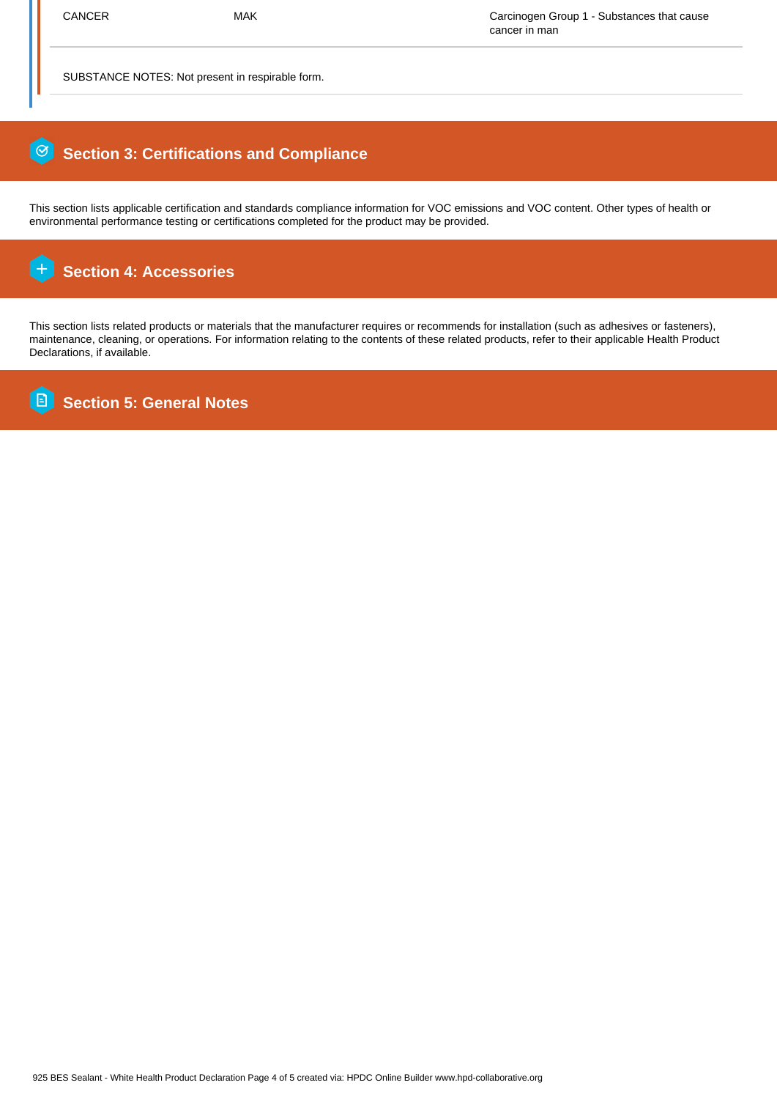SUBSTANCE NOTES: Not present in respirable form.

## 0  **Section 3: Certifications and Compliance**

This section lists applicable certification and standards compliance information for VOC emissions and VOC content. Other types of health or environmental performance testing or certifications completed for the product may be provided.

#### $\overline{+}$  **Section 4: Accessories**

This section lists related products or materials that the manufacturer requires or recommends for installation (such as adhesives or fasteners), maintenance, cleaning, or operations. For information relating to the contents of these related products, refer to their applicable Health Product Declarations, if available.

**B Section 5: General Notes**